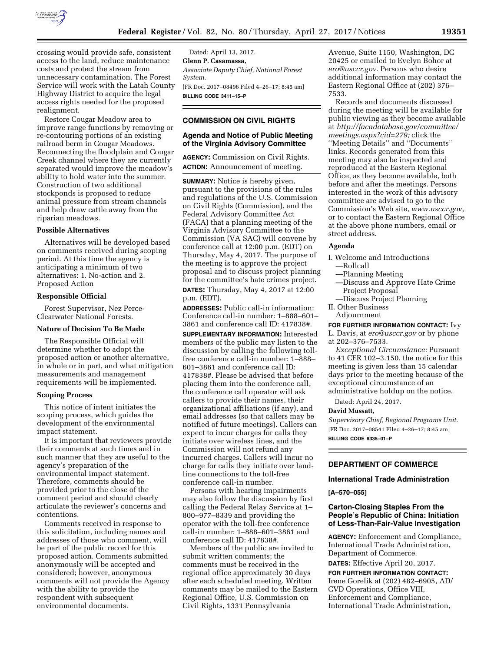

crossing would provide safe, consistent access to the land, reduce maintenance costs and protect the stream from unnecessary contamination. The Forest Service will work with the Latah County Highway District to acquire the legal access rights needed for the proposed realignment.

Restore Cougar Meadow area to improve range functions by removing or re-contouring portions of an existing railroad berm in Cougar Meadows. Reconnecting the floodplain and Cougar Creek channel where they are currently separated would improve the meadow's ability to hold water into the summer. Construction of two additional stockponds is proposed to reduce animal pressure from stream channels and help draw cattle away from the riparian meadows.

## **Possible Alternatives**

Alternatives will be developed based on comments received during scoping period. At this time the agency is anticipating a minimum of two alternatives: 1. No-action and 2. Proposed Action

## **Responsible Official**

Forest Supervisor, Nez Perce-Clearwater National Forests.

## **Nature of Decision To Be Made**

The Responsible Official will determine whether to adopt the proposed action or another alternative, in whole or in part, and what mitigation measurements and management requirements will be implemented.

## **Scoping Process**

This notice of intent initiates the scoping process, which guides the development of the environmental impact statement.

It is important that reviewers provide their comments at such times and in such manner that they are useful to the agency's preparation of the environmental impact statement. Therefore, comments should be provided prior to the close of the comment period and should clearly articulate the reviewer's concerns and contentions.

Comments received in response to this solicitation, including names and addresses of those who comment, will be part of the public record for this proposed action. Comments submitted anonymously will be accepted and considered; however, anonymous comments will not provide the Agency with the ability to provide the respondent with subsequent environmental documents.

Dated: April 13, 2017. **Glenn P. Casamassa,**  *Associate Deputy Chief, National Forest System.*  [FR Doc. 2017–08496 Filed 4–26–17; 8:45 am] **BILLING CODE 3411–15–P** 

# **COMMISSION ON CIVIL RIGHTS**

# **Agenda and Notice of Public Meeting of the Virginia Advisory Committee**

**AGENCY:** Commission on Civil Rights. **ACTION:** Announcement of meeting.

**SUMMARY:** Notice is hereby given, pursuant to the provisions of the rules and regulations of the U.S. Commission on Civil Rights (Commission), and the Federal Advisory Committee Act (FACA) that a planning meeting of the Virginia Advisory Committee to the Commission (VA SAC) will convene by conference call at 12:00 p.m. (EDT) on Thursday, May 4, 2017. The purpose of the meeting is to approve the project proposal and to discuss project planning for the committee's hate crimes project.

**DATES:** Thursday, May 4, 2017 at 12:00 p.m. (EDT).

**ADDRESSES:** Public call-in information: Conference call-in number: 1–888–601– 3861 and conference call ID: 417838#.

**SUPPLEMENTARY INFORMATION:** Interested members of the public may listen to the discussion by calling the following tollfree conference call-in number: 1–888– 601–3861 and conference call ID: 417838#. Please be advised that before placing them into the conference call, the conference call operator will ask callers to provide their names, their organizational affiliations (if any), and email addresses (so that callers may be notified of future meetings). Callers can expect to incur charges for calls they initiate over wireless lines, and the Commission will not refund any incurred charges. Callers will incur no charge for calls they initiate over landline connections to the toll-free conference call-in number.

Persons with hearing impairments may also follow the discussion by first calling the Federal Relay Service at 1– 800–977–8339 and providing the operator with the toll-free conference call-in number: 1–888–601–3861 and conference call ID: 417838#.

Members of the public are invited to submit written comments; the comments must be received in the regional office approximately 30 days after each scheduled meeting. Written comments may be mailed to the Eastern Regional Office, U.S. Commission on Civil Rights, 1331 Pennsylvania

Avenue, Suite 1150, Washington, DC 20425 or emailed to Evelyn Bohor at *[ero@usccr.gov.](mailto:ero@usccr.gov)* Persons who desire additional information may contact the Eastern Regional Office at (202) 376– 7533.

Records and documents discussed during the meeting will be available for public viewing as they become available at *[http://facadatabase.gov/committee/](http://facadatabase.gov/committee/meetings.aspx?cid=279) [meetings.aspx?cid=279;](http://facadatabase.gov/committee/meetings.aspx?cid=279)* click the ''Meeting Details'' and ''Documents'' links. Records generated from this meeting may also be inspected and reproduced at the Eastern Regional Office, as they become available, both before and after the meetings. Persons interested in the work of this advisory committee are advised to go to the Commission's Web site, *[www.usccr.gov,](http://www.usccr.gov)*  or to contact the Eastern Regional Office at the above phone numbers, email or street address.

## **Agenda**

- I. Welcome and Introductions —Rollcall
	- —Planning Meeting
	- —Discuss and Approve Hate Crime Project Proposal
- —Discuss Project Planning II. Other Business
- Adjournment

**FOR FURTHER INFORMATION CONTACT:** Ivy

L. Davis, at *[ero@usccr.gov](mailto:ero@usccr.gov)* or by phone at 202–376–7533.

*Exceptional Circumstance:* Pursuant to 41 CFR 102–3.150, the notice for this meeting is given less than 15 calendar days prior to the meeting because of the exceptional circumstance of an administrative holdup on the notice.

Dated: April 24, 2017.

## **David Mussatt,**

*Supervisory Chief, Regional Programs Unit.*  [FR Doc. 2017–08541 Filed 4–26–17; 8:45 am] **BILLING CODE 6335–01–P** 

## **DEPARTMENT OF COMMERCE**

### **International Trade Administration**

## **[A–570–055]**

# **Carton-Closing Staples From the People's Republic of China: Initiation of Less-Than-Fair-Value Investigation**

**AGENCY:** Enforcement and Compliance, International Trade Administration, Department of Commerce.

**DATES:** Effective April 20, 2017.

**FOR FURTHER INFORMATION CONTACT:**  Irene Gorelik at (202) 482–6905, AD/ CVD Operations, Office VIII, Enforcement and Compliance, International Trade Administration,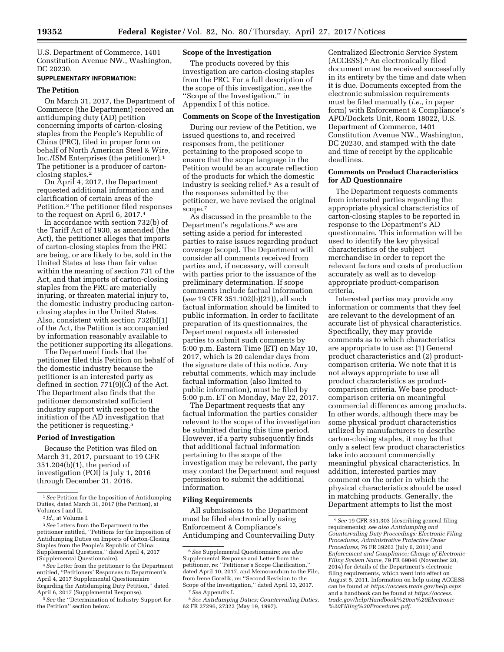U.S. Department of Commerce, 1401 Constitution Avenue NW., Washington, DC 20230.

# **SUPPLEMENTARY INFORMATION:**

### **The Petition**

On March 31, 2017, the Department of Commerce (the Department) received an antidumping duty (AD) petition concerning imports of carton-closing staples from the People's Republic of China (PRC), filed in proper form on behalf of North American Steel & Wire, Inc./ISM Enterprises (the petitioner).1 The petitioner is a producer of cartonclosing staples.2

On April 4, 2017, the Department requested additional information and clarification of certain areas of the Petition.3 The petitioner filed responses to the request on April 6, 2017.4

In accordance with section 732(b) of the Tariff Act of 1930, as amended (the Act), the petitioner alleges that imports of carton-closing staples from the PRC are being, or are likely to be, sold in the United States at less than fair value within the meaning of section 731 of the Act, and that imports of carton-closing staples from the PRC are materially injuring, or threaten material injury to, the domestic industry producing cartonclosing staples in the United States. Also, consistent with section 732(b)(1) of the Act, the Petition is accompanied by information reasonably available to the petitioner supporting its allegations.

The Department finds that the petitioner filed this Petition on behalf of the domestic industry because the petitioner is an interested party as defined in section 771(9)(C) of the Act. The Department also finds that the petitioner demonstrated sufficient industry support with respect to the initiation of the AD investigation that the petitioner is requesting.5

### **Period of Investigation**

Because the Petition was filed on March 31, 2017, pursuant to 19 CFR 351.204(b)(1), the period of investigation (POI) is July 1, 2016 through December 31, 2016.

3*See* Letters from the Department to the petitioner entitled, ''Petitions for the Imposition of Antidumping Duties on Imports of Carton-Closing Staples from the People's Republic of China: Supplemental Questions,'' dated April 4, 2017 (Supplemental Questionnaire).

4*See* Letter from the petitioner to the Department entitled, ''Petitioners' Responses to Department's April 4, 2017 Supplemental Questionnaire Regarding the Antidumping Duty Petition,'' dated April 6, 2017 (Supplemental Response).

5*See* the ''Determination of Industry Support for the Petition'' section below.

# **Scope of the Investigation**

The products covered by this investigation are carton-closing staples from the PRC. For a full description of the scope of this investigation, *see* the ''Scope of the Investigation,'' in Appendix I of this notice.

### **Comments on Scope of the Investigation**

During our review of the Petition, we issued questions to, and received responses from, the petitioner pertaining to the proposed scope to ensure that the scope language in the Petition would be an accurate reflection of the products for which the domestic industry is seeking relief.6 As a result of the responses submitted by the petitioner, we have revised the original scope.7

As discussed in the preamble to the Department's regulations,<sup>8</sup> we are setting aside a period for interested parties to raise issues regarding product coverage (scope). The Department will consider all comments received from parties and, if necessary, will consult with parties prior to the issuance of the preliminary determination. If scope comments include factual information (*see* 19 CFR 351.102(b)(21)), all such factual information should be limited to public information. In order to facilitate preparation of its questionnaires, the Department requests all interested parties to submit such comments by 5:00 p.m. Eastern Time (ET) on May 10, 2017, which is 20 calendar days from the signature date of this notice. Any rebuttal comments, which may include factual information (also limited to public information), must be filed by 5:00 p.m. ET on Monday, May 22, 2017.

The Department requests that any factual information the parties consider relevant to the scope of the investigation be submitted during this time period. However, if a party subsequently finds that additional factual information pertaining to the scope of the investigation may be relevant, the party may contact the Department and request permission to submit the additional information.

### **Filing Requirements**

All submissions to the Department must be filed electronically using Enforcement & Compliance's Antidumping and Countervailing Duty

Centralized Electronic Service System (ACCESS).9 An electronically filed document must be received successfully in its entirety by the time and date when it is due. Documents excepted from the electronic submission requirements must be filed manually (*i.e.,* in paper form) with Enforcement & Compliance's APO/Dockets Unit, Room 18022, U.S. Department of Commerce, 1401 Constitution Avenue NW., Washington, DC 20230, and stamped with the date and time of receipt by the applicable deadlines.

## **Comments on Product Characteristics for AD Questionnaire**

The Department requests comments from interested parties regarding the appropriate physical characteristics of carton-closing staples to be reported in response to the Department's AD questionnaire. This information will be used to identify the key physical characteristics of the subject merchandise in order to report the relevant factors and costs of production accurately as well as to develop appropriate product-comparison criteria.

Interested parties may provide any information or comments that they feel are relevant to the development of an accurate list of physical characteristics. Specifically, they may provide comments as to which characteristics are appropriate to use as: (1) General product characteristics and (2) productcomparison criteria. We note that it is not always appropriate to use all product characteristics as productcomparison criteria. We base productcomparison criteria on meaningful commercial differences among products. In other words, although there may be some physical product characteristics utilized by manufacturers to describe carton-closing staples, it may be that only a select few product characteristics take into account commercially meaningful physical characteristics. In addition, interested parties may comment on the order in which the physical characteristics should be used in matching products. Generally, the Department attempts to list the most

<sup>1</sup>*See* Petition for the Imposition of Antidumping Duties, dated March 31, 2017 (the Petition), at Volumes I and II.

<sup>2</sup> *Id.,* at Volume I.

<sup>6</sup>*See* Supplemental Questionnaire; *see also*  Supplemental Response and Letter from the petitioner, re: ''Petitioner's Scope Clarification,'' dated April 10, 2017, and Memorandum to the File, from Irene Gorelik, re: ''Second Revision to the Scope of the Investigation,'' dated April 13, 2017. 7*See* Appendix I.

<sup>8</sup>*See Antidumping Duties; Countervailing Duties,*  62 FR 27296, 27323 (May 19, 1997).

<sup>9</sup>*See* 19 CFR 351.303 (describing general filing requirements); *see also Antidumping and Countervailing Duty Proceedings: Electronic Filing Procedures; Administrative Protective Order Procedures,* 76 FR 39263 (July 6, 2011) and *Enforcement and Compliance; Change of Electronic Filing System Name,* 79 FR 69046 (November 20, 2014) for details of the Department's electronic filing requirements, which went into effect on August 5, 2011. Information on help using ACCESS can be found at *<https://access.trade.gov/help.aspx>*  and a handbook can be found at *[https://access.](https://access.trade.gov/help/Handbook%20on%20Electronic%20Filling%20Procedures.pdf) [trade.gov/help/Handbook%20on%20Electronic](https://access.trade.gov/help/Handbook%20on%20Electronic%20Filling%20Procedures.pdf) [%20Filling%20Procedures.pdf.](https://access.trade.gov/help/Handbook%20on%20Electronic%20Filling%20Procedures.pdf)*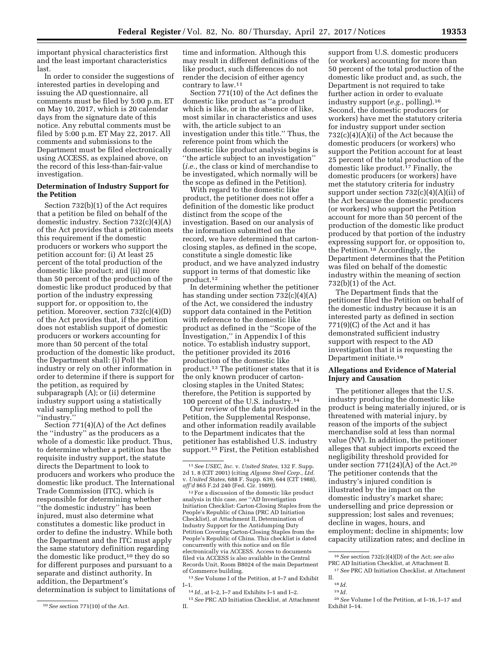important physical characteristics first and the least important characteristics last.

In order to consider the suggestions of interested parties in developing and issuing the AD questionnaire, all comments must be filed by 5:00 p.m. ET on May 10, 2017, which is 20 calendar days from the signature date of this notice. Any rebuttal comments must be filed by 5:00 p.m. ET May 22, 2017. All comments and submissions to the Department must be filed electronically using ACCESS, as explained above, on the record of this less-than-fair-value investigation.

### **Determination of Industry Support for the Petition**

Section 732(b)(1) of the Act requires that a petition be filed on behalf of the domestic industry. Section 732(c)(4)(A) of the Act provides that a petition meets this requirement if the domestic producers or workers who support the petition account for: (i) At least 25 percent of the total production of the domestic like product; and (ii) more than 50 percent of the production of the domestic like product produced by that portion of the industry expressing support for, or opposition to, the petition. Moreover, section 732(c)(4)(D) of the Act provides that, if the petition does not establish support of domestic producers or workers accounting for more than 50 percent of the total production of the domestic like product, the Department shall: (i) Poll the industry or rely on other information in order to determine if there is support for the petition, as required by subparagraph (A); or (ii) determine industry support using a statistically valid sampling method to poll the ''industry.''

Section 771(4)(A) of the Act defines the ''industry'' as the producers as a whole of a domestic like product. Thus, to determine whether a petition has the requisite industry support, the statute directs the Department to look to producers and workers who produce the domestic like product. The International Trade Commission (ITC), which is responsible for determining whether ''the domestic industry'' has been injured, must also determine what constitutes a domestic like product in order to define the industry. While both the Department and the ITC must apply the same statutory definition regarding the domestic like product,<sup>10</sup> they do so for different purposes and pursuant to a separate and distinct authority. In addition, the Department's determination is subject to limitations of

time and information. Although this may result in different definitions of the like product, such differences do not render the decision of either agency contrary to law.11

Section 771(10) of the Act defines the domestic like product as ''a product which is like, or in the absence of like, most similar in characteristics and uses with, the article subject to an investigation under this title.'' Thus, the reference point from which the domestic like product analysis begins is ''the article subject to an investigation'' (*i.e.,* the class or kind of merchandise to be investigated, which normally will be the scope as defined in the Petition).

With regard to the domestic like product, the petitioner does not offer a definition of the domestic like product distinct from the scope of the investigation. Based on our analysis of the information submitted on the record, we have determined that cartonclosing staples, as defined in the scope, constitute a single domestic like product, and we have analyzed industry support in terms of that domestic like product.12

In determining whether the petitioner has standing under section 732(c)(4)(A) of the Act, we considered the industry support data contained in the Petition with reference to the domestic like product as defined in the ''Scope of the Investigation,'' in Appendix I of this notice. To establish industry support, the petitioner provided its 2016 production of the domestic like product.13 The petitioner states that it is the only known producer of cartonclosing staples in the United States; therefore, the Petition is supported by 100 percent of the U.S. industry.14

Our review of the data provided in the Petition, the Supplemental Response, and other information readily available to the Department indicates that the petitioner has established U.S. industry support.15 First, the Petition established

<sup>12</sup> For a discussion of the domestic like product analysis in this case, *see* ''AD Investigation Initiation Checklist: Carton-Closing Staples from the People's Republic of China (PRC AD Initiation Checklist), at Attachment II, Determination of Industry Support for the Antidumping Duty Petition Covering Carton-Closing Staples from the People's Republic of China. This checklist is dated concurrently with this notice and on file electronically via ACCESS. Access to documents filed via ACCESS is also available in the Central Records Unit, Room B8024 of the main Department of Commerce building.

13*See* Volume I of the Petition, at I–7 and Exhibit I–1.

 $^{14}\,Id.,$  at I–2, I–7 and Exhibits I–1 and I–2.

15*See* PRC AD Initiation Checklist, at Attachment II.

support from U.S. domestic producers (or workers) accounting for more than 50 percent of the total production of the domestic like product and, as such, the Department is not required to take further action in order to evaluate industry support (*e.g.,* polling).16 Second, the domestic producers (or workers) have met the statutory criteria for industry support under section  $732(c)(4)(A)(i)$  of the Act because the domestic producers (or workers) who support the Petition account for at least 25 percent of the total production of the domestic like product.17 Finally, the domestic producers (or workers) have met the statutory criteria for industry support under section 732(c)(4)(A)(ii) of the Act because the domestic producers (or workers) who support the Petition account for more than 50 percent of the production of the domestic like product produced by that portion of the industry expressing support for, or opposition to, the Petition.18 Accordingly, the Department determines that the Petition was filed on behalf of the domestic industry within the meaning of section 732(b)(1) of the Act.

The Department finds that the petitioner filed the Petition on behalf of the domestic industry because it is an interested party as defined in section 771(9)(C) of the Act and it has demonstrated sufficient industry support with respect to the AD investigation that it is requesting the Department initiate.19

## **Allegations and Evidence of Material Injury and Causation**

The petitioner alleges that the U.S. industry producing the domestic like product is being materially injured, or is threatened with material injury, by reason of the imports of the subject merchandise sold at less than normal value (NV). In addition, the petitioner alleges that subject imports exceed the negligibility threshold provided for under section 771(24)(A) of the Act.20 The petitioner contends that the industry's injured condition is illustrated by the impact on the domestic industry's market share; underselling and price depression or suppression; lost sales and revenues; decline in wages, hours, and employment; decline in shipments; low capacity utilization rates; and decline in

19 *Id.* 

<sup>10</sup>*See* section 771(10) of the Act.

<sup>11</sup>*See USEC, Inc.* v. *United States,* 132 F. Supp. 2d 1, 8 (CIT 2001) (citing *Algoma Steel Corp., Ltd.*  v. *United States,* 688 F. Supp. 639, 644 (CIT 1988), *aff'd* 865 F.2d 240 (Fed. Cir. 1989)).

<sup>16</sup>*See* section 732(c)(4)(D) of the Act; *see also*  PRC AD Initiation Checklist, at Attachment II.

<sup>17</sup>*See* PRC AD Initiation Checklist, at Attachment II.

<sup>18</sup> *Id.* 

<sup>20</sup>*See* Volume I of the Petition, at I–16, I–17 and Exhibit I–14.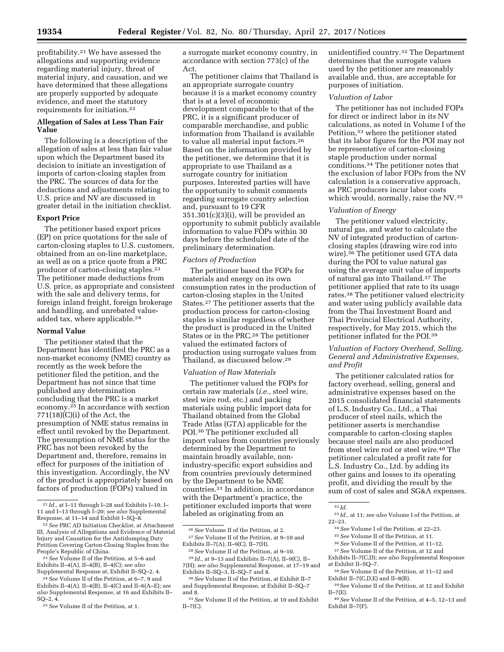profitability.21 We have assessed the allegations and supporting evidence regarding material injury, threat of material injury, and causation, and we have determined that these allegations are properly supported by adequate evidence, and meet the statutory requirements for initiation.22

# **Allegation of Sales at Less Than Fair Value**

The following is a description of the allegation of sales at less than fair value upon which the Department based its decision to initiate an investigation of imports of carton-closing staples from the PRC. The sources of data for the deductions and adjustments relating to U.S. price and NV are discussed in greater detail in the initiation checklist.

## **Export Price**

The petitioner based export prices (EP) on price quotations for the sale of carton-closing staples to U.S. customers, obtained from an on-line marketplace, as well as on a price quote from a PRC producer of carton-closing staples.23 The petitioner made deductions from U.S. price, as appropriate and consistent with the sale and delivery terms, for foreign inland freight, foreign brokerage and handling, and unrebated valueadded tax, where applicable.24

## **Normal Value**

The petitioner stated that the Department has identified the PRC as a non-market economy (NME) country as recently as the week before the petitioner filed the petition, and the Department has not since that time published any determination concluding that the PRC is a market economy.25 In accordance with section  $771(18)(C)(i)$  of the Act, the presumption of NME status remains in effect until revoked by the Department. The presumption of NME status for the PRC has not been revoked by the Department and, therefore, remains in effect for purposes of the initiation of this investigation. Accordingly, the NV of the product is appropriately based on factors of production (FOPs) valued in

a surrogate market economy country, in accordance with section 773(c) of the Act.

The petitioner claims that Thailand is an appropriate surrogate country because it is a market economy country that is at a level of economic development comparable to that of the PRC, it is a significant producer of comparable merchandise, and public information from Thailand is available to value all material input factors.26 Based on the information provided by the petitioner, we determine that it is appropriate to use Thailand as a surrogate country for initiation purposes. Interested parties will have the opportunity to submit comments regarding surrogate country selection and, pursuant to 19 CFR  $351.301(c)(3)(i)$ , will be provided an opportunity to submit publicly available information to value FOPs within 30 days before the scheduled date of the preliminary determination.

### *Factors of Production*

The petitioner based the FOPs for materials and energy on its own consumption rates in the production of carton-closing staples in the United States.27 The petitioner asserts that the production process for carton-closing staples is similar regardless of whether the product is produced in the United States or in the PRC.<sup>28</sup> The petitioner valued the estimated factors of production using surrogate values from Thailand, as discussed below.29

#### *Valuation of Raw Materials*

The petitioner valued the FOPs for certain raw materials (*i.e.,* steel wire, steel wire rod, etc.) and packing materials using public import data for Thailand obtained from the Global Trade Atlas (GTA) applicable for the POI.30 The petitioner excluded all import values from countries previously determined by the Department to maintain broadly available, nonindustry-specific export subsidies and from countries previously determined by the Department to be NME countries.31 In addition, in accordance with the Department's practice, the petitioner excluded imports that were labeled as originating from an

unidentified country.32 The Department determines that the surrogate values used by the petitioner are reasonably available and, thus, are acceptable for purposes of initiation.

#### *Valuation of Labor*

The petitioner has not included FOPs for direct or indirect labor in its NV calculations, as noted in Volume I of the Petition,33 where the petitioner stated that its labor figures for the POI may not be representative of carton-closing staple production under normal conditions.34 The petitioner notes that the exclusion of labor FOPs from the NV calculation is a conservative approach, as PRC producers incur labor costs which would, normally, raise the NV.35

### *Valuation of Energy*

The petitioner valued electricity, natural gas, and water to calculate the NV of integrated production of cartonclosing staples (drawing wire rod into wire).36 The petitioner used GTA data during the POI to value natural gas using the average unit value of imports of natural gas into Thailand.37 The petitioner applied that rate to its usage rates.38 The petitioner valued electricity and water using publicly available data from the Thai Investment Board and Thai Provincial Electrical Authority, respectively, for May 2015, which the petitioner inflated for the POI.39

## *Valuation of Factory Overhead, Selling, General and Administrative Expenses, and Profit*

The petitioner calculated ratios for factory overhead, selling, general and administrative expenses based on the 2015 consolidated financial statements of L.S. Industry Co., Ltd., a Thai producer of steel nails, which the petitioner asserts is merchandise comparable to carton-closing staples because steel nails are also produced from steel wire rod or steel wire.40 The petitioner calculated a profit rate for L.S. Industry Co., Ltd. by adding its other gains and losses to its operating profit, and dividing the result by the sum of cost of sales and SG&A expenses.

<sup>21</sup> *Id.,* at I–11 through I–28 and Exhibits I–10, I– 11 and I–13 through I–20; *see also* Supplemental Response, at 11–14 and Exhibit I–SQ–8.

<sup>22</sup>*See* PRC AD Initiation Checklist, at Attachment III, Analysis of Allegations and Evidence of Material Injury and Causation for the Antidumping Duty Petition Covering Carton-Closing Staples from the People's Republic of China.

<sup>23</sup>*See* Volume II of the Petition, at 5–6 and Exhibits II–4(A), II–4(B), II–4(C); *see also*  Supplemental Response at, Exhibit II–SQ–2, 4.

<sup>24</sup>*See* Volume II of the Petition, at 6–7, 9 and Exhibits II–4(A), II–4(B), II–4(C) and II–6(A–E); *see also* Supplemental Response, at 16 and Exhibits II– SQ–2, 4.

<sup>25</sup>*See* Volume II of the Petition, at 1.

<sup>26</sup>*See* Volume II of the Petition, at 2. 27*See* Volume II of the Petition, at 9–10 and Exhibits II–7(A), II–9(C), II–7(H).

<sup>28</sup>*See* Volume II of the Petition, at 9–10.

<sup>29</sup> *Id.,* at 9–13 and Exhibits II–7(A), II–9(C), II– 7(H); *see also* Supplemental Response, at 17–19 and Exhibits II–SQ–3, II–SQ–7 and 8.

<sup>30</sup>*See* Volume II of the Petition, at Exhibit II–7 and Supplemental Response, at Exhibit II–SQ–7 and 8.

<sup>31</sup>*See* Volume II of the Petition, at 10 and Exhibit  $II-7(C)$ .

<sup>32</sup> *Id.* 

<sup>33</sup> *Id.,* at 11; *see also* Volume I of the Petition, at 22–23.

<sup>34</sup>*See* Volume I of the Petition, at 22–23.

<sup>35</sup>*See* Volume II of the Petition, at 11.

<sup>36</sup>*See* Volume II of the Petition, at 11–12.

<sup>37</sup>*See* Volume II of the Petition, at 12 and

Exhibits II–7(C,D); *see also* Supplemental Response at Exhibit II–SQ–7.

<sup>38</sup>*See* Volume II of the Petition, at 11–12 and Exhibit II–7(C,D,E) and II–8(B).

<sup>39</sup>See Volume II of the Petition, at 12 and Exhibit  $II - 7(E)$ .

<sup>40</sup>*See* Volume II of the Petition, at 4–5, 12–13 and Exhibit II–7(F).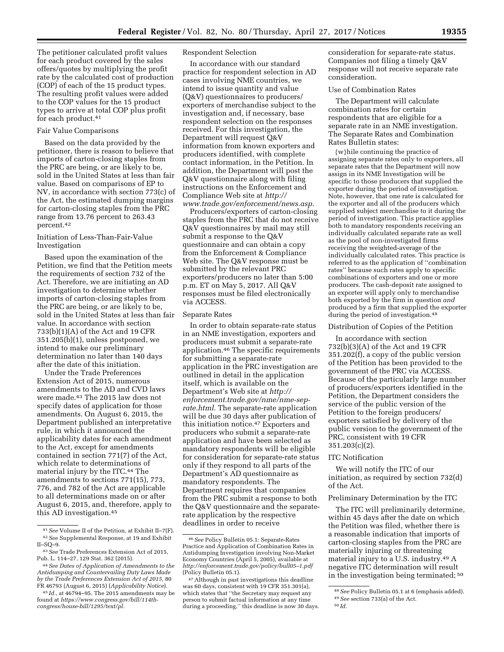The petitioner calculated profit values for each product covered by the sales offers/quotes by multiplying the profit rate by the calculated cost of production (COP) of each of the 15 product types. The resulting profit values were added to the COP values for the 15 product types to arrive at total COP plus profit for each product.41

## Fair Value Comparisons

Based on the data provided by the petitioner, there is reason to believe that imports of carton-closing staples from the PRC are being, or are likely to be, sold in the United States at less than fair value. Based on comparisons of EP to NV, in accordance with section 773(c) of the Act, the estimated dumping margins for carton-closing staples from the PRC range from 13.76 percent to 263.43 percent.42

## Initiation of Less-Than-Fair-Value Investigation

Based upon the examination of the Petition, we find that the Petition meets the requirements of section 732 of the Act. Therefore, we are initiating an AD investigation to determine whether imports of carton-closing staples from the PRC are being, or are likely to be, sold in the United States at less than fair value. In accordance with section 733(b)(1)(A) of the Act and 19 CFR 351.205(b)(1), unless postponed, we intend to make our preliminary determination no later than 140 days after the date of this initiation.

Under the Trade Preferences Extension Act of 2015, numerous amendments to the AD and CVD laws were made.43 The 2015 law does not specify dates of application for those amendments. On August 6, 2015, the Department published an interpretative rule, in which it announced the applicability dates for each amendment to the Act, except for amendments contained in section 771(7) of the Act, which relate to determinations of material injury by the ITC.44 The amendments to sections 771(15), 773, 776, and 782 of the Act are applicable to all determinations made on or after August 6, 2015, and, therefore, apply to this AD investigation.45

# Respondent Selection

In accordance with our standard practice for respondent selection in AD cases involving NME countries, we intend to issue quantity and value (Q&V) questionnaires to producers/ exporters of merchandise subject to the investigation and, if necessary, base respondent selection on the responses received. For this investigation, the Department will request Q&V information from known exporters and producers identified, with complete contact information, in the Petition. In addition, the Department will post the Q&V questionnaire along with filing instructions on the Enforcement and Compliance Web site at *[http://](http://www.trade.gov/enforcement/news.asp) [www.trade.gov/enforcement/news.asp.](http://www.trade.gov/enforcement/news.asp)* 

Producers/exporters of carton-closing staples from the PRC that do not receive Q&V questionnaires by mail may still submit a response to the Q&V questionnaire and can obtain a copy from the Enforcement & Compliance Web site. The Q&V response must be submitted by the relevant PRC exporters/producers no later than 5:00 p.m. ET on May 5, 2017. All Q&V responses must be filed electronically via ACCESS.

#### Separate Rates

In order to obtain separate-rate status in an NME investigation, exporters and producers must submit a separate-rate application.46 The specific requirements for submitting a separate-rate application in the PRC investigation are outlined in detail in the application itself, which is available on the Department's Web site at *[http://](http://enforcement.trade.gov/nme/nme-sep-rate.html) [enforcement.trade.gov/nme/nme-sep](http://enforcement.trade.gov/nme/nme-sep-rate.html)[rate.html.](http://enforcement.trade.gov/nme/nme-sep-rate.html)* The separate-rate application will be due 30 days after publication of this initiation notice.47 Exporters and producers who submit a separate-rate application and have been selected as mandatory respondents will be eligible for consideration for separate-rate status only if they respond to all parts of the Department's AD questionnaire as mandatory respondents. The Department requires that companies from the PRC submit a response to both the Q&V questionnaire and the separaterate application by the respective deadlines in order to receive

consideration for separate-rate status. Companies not filing a timely Q&V response will not receive separate rate consideration.

## Use of Combination Rates

The Department will calculate combination rates for certain respondents that are eligible for a separate rate in an NME investigation. The Separate Rates and Combination Rates Bulletin states:

{w}hile continuing the practice of assigning separate rates only to exporters, all separate rates that the Department will now assign in its NME Investigation will be specific to those producers that supplied the exporter during the period of investigation. Note, however, that one rate is calculated for the exporter and all of the producers which supplied subject merchandise to it during the period of investigation. This practice applies both to mandatory respondents receiving an individually calculated separate rate as well as the pool of non-investigated firms receiving the weighted-average of the individually calculated rates. This practice is referred to as the application of ''combination rates'' because such rates apply to specific combinations of exporters and one or more producers. The cash-deposit rate assigned to an exporter will apply only to merchandise both exported by the firm in question *and*  produced by a firm that supplied the exporter during the period of investigation.<sup>48</sup>

#### Distribution of Copies of the Petition

In accordance with section 732(b)(3)(A) of the Act and 19 CFR 351.202(f), a copy of the public version of the Petition has been provided to the government of the PRC via ACCESS. Because of the particularly large number of producers/exporters identified in the Petition, the Department considers the service of the public version of the Petition to the foreign producers/ exporters satisfied by delivery of the public version to the government of the PRC, consistent with 19 CFR 351.203(c)(2).

### ITC Notification

We will notify the ITC of our initiation, as required by section 732(d) of the Act.

## Preliminary Determination by the ITC

The ITC will preliminarily determine, within 45 days after the date on which the Petition was filed, whether there is a reasonable indication that imports of carton-closing staples from the PRC are materially injuring or threatening material injury to a U.S. industry.49 A negative ITC determination will result in the investigation being terminated; 50

<sup>41</sup>*See* Volume II of the Petition, at Exhibit II–7(F). 42*See* Supplemental Response, at 19 and Exhibit II–SQ–9.

<sup>43</sup>*See* Trade Preferences Extension Act of 2015, Pub. L. 114–27, 129 Stat. 362 (2015).

<sup>44</sup>*See Dates of Application of Amendments to the Antidumping and Countervailing Duty Laws Made by the Trade Preferences Extension Act of 2015,* 80 FR 46793 (August 6, 2015) (*Applicability Notice*).

<sup>45</sup> *Id.,* at 46794–95. The 2015 amendments may be found at *[https://www.congress.gov/bill/114th](https://www.congress.gov/bill/114th-congress/house-bill/1295/text/pl)[congress/house-bill/1295/text/pl.](https://www.congress.gov/bill/114th-congress/house-bill/1295/text/pl)* 

<sup>46</sup>*See* Policy Bulletin 05.1: Separate-Rates Practice and Application of Combination Rates in Antidumping Investigation involving Non-Market Economy Countries (April 5, 2005), available at *[http://enforcement.trade.gov/policy/bull05–1.pdf](http://enforcement.trade.gov/policy/bull05-1.pdf)*  (Policy Bulletin 05.1).

<sup>47</sup>Although in past investigations this deadline was 60 days, consistent with 19 CFR 351.301(a), which states that ''the Secretary may request any person to submit factual information at any time during a proceeding,'' this deadline is now 30 days.

<sup>48</sup>*See* Policy Bulletin 05.1 at 6 (emphasis added). 49*See* section 733(a) of the Act.

<sup>50</sup> *Id.*